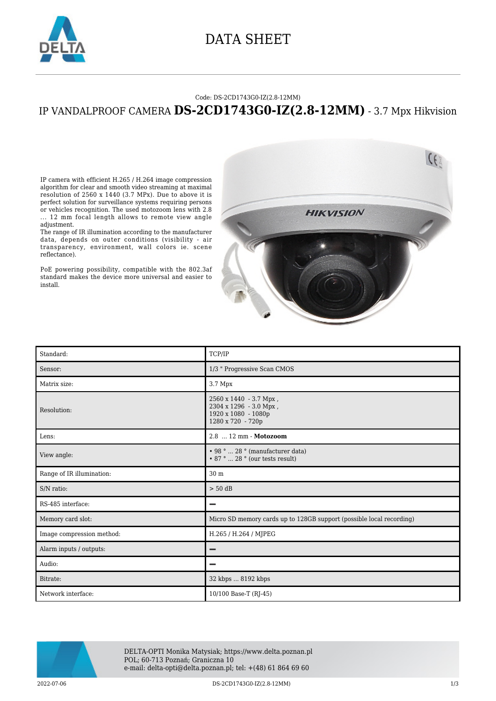

### DATA SHEET

#### Code: DS-2CD1743G0-IZ(2.8-12MM)

### IP VANDALPROOF CAMERA **DS-2CD1743G0-IZ(2.8-12MM)** - 3.7 Mpx Hikvision

IP camera with efficient H.265 / H.264 image compression algorithm for clear and smooth video streaming at maximal resolution of 2560 x 1440 (3.7 MPx). Due to above it is perfect solution for surveillance systems requiring persons or vehicles recognition. The used motozoom lens with 2.8

... 12 mm focal length allows to remote view angle adjustment.

The range of IR illumination according to the manufacturer data, depends on outer conditions (visibility - air transparency, environment, wall colors ie. scene reflectance).

PoE powering possibility, compatible with the 802.3af standard makes the device more universal and easier to install.



| Standard:                 | TCP/IP                                                                                              |
|---------------------------|-----------------------------------------------------------------------------------------------------|
| Sensor:                   | 1/3 " Progressive Scan CMOS                                                                         |
| Matrix size:              | 3.7 Mpx                                                                                             |
| Resolution:               | $2560 \times 1440 - 3.7$ Mpx,<br>2304 x 1296 - 3.0 Mpx,<br>1920 x 1080 - 1080p<br>1280 x 720 - 720p |
| Lens:                     | 2.8  12 mm - Motozoom                                                                               |
| View angle:               | • 98 °  28 ° (manufacturer data)<br>$\cdot$ 87 °  28 ° (our tests result)                           |
| Range of IR illumination: | 30 <sub>m</sub>                                                                                     |
| S/N ratio:                | $> 50$ dB                                                                                           |
| RS-485 interface:         | -                                                                                                   |
| Memory card slot:         | Micro SD memory cards up to 128GB support (possible local recording)                                |
| Image compression method: | H.265 / H.264 / MJPEG                                                                               |
| Alarm inputs / outputs:   |                                                                                                     |
| Audio:                    |                                                                                                     |
| Bitrate:                  | 32 kbps  8192 kbps                                                                                  |
| Network interface:        | 10/100 Base-T (RJ-45)                                                                               |



DELTA-OPTI Monika Matysiak; https://www.delta.poznan.pl POL; 60-713 Poznań; Graniczna 10 e-mail: delta-opti@delta.poznan.pl; tel: +(48) 61 864 69 60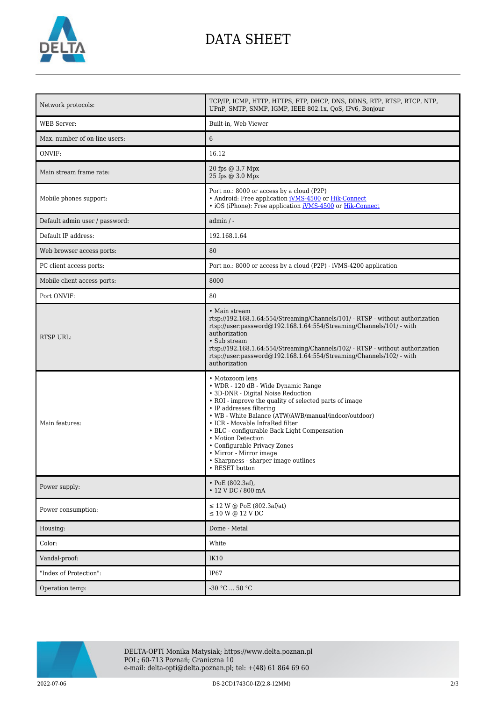

## DATA SHEET

| Network protocols:             | TCP/IP, ICMP, HTTP, HTTPS, FTP, DHCP, DNS, DDNS, RTP, RTSP, RTCP, NTP,<br>UPnP, SMTP, SNMP, IGMP, IEEE 802.1x, QoS, IPv6, Bonjour                                                                                                                                                                                                                                                                                                                                        |
|--------------------------------|--------------------------------------------------------------------------------------------------------------------------------------------------------------------------------------------------------------------------------------------------------------------------------------------------------------------------------------------------------------------------------------------------------------------------------------------------------------------------|
| <b>WEB</b> Server:             | Built-in, Web Viewer                                                                                                                                                                                                                                                                                                                                                                                                                                                     |
| Max. number of on-line users:  | 6                                                                                                                                                                                                                                                                                                                                                                                                                                                                        |
| ONVIF:                         | 16.12                                                                                                                                                                                                                                                                                                                                                                                                                                                                    |
| Main stream frame rate:        | 20 fps @ 3.7 Mpx<br>25 fps @ 3.0 Mpx                                                                                                                                                                                                                                                                                                                                                                                                                                     |
| Mobile phones support:         | Port no.: 8000 or access by a cloud (P2P)<br>• Android: Free application <i>iVMS-4500</i> or Hik-Connect<br>• iOS (iPhone): Free application iVMS-4500 or Hik-Connect                                                                                                                                                                                                                                                                                                    |
| Default admin user / password: | $admin / -$                                                                                                                                                                                                                                                                                                                                                                                                                                                              |
| Default IP address:            | 192.168.1.64                                                                                                                                                                                                                                                                                                                                                                                                                                                             |
| Web browser access ports:      | 80                                                                                                                                                                                                                                                                                                                                                                                                                                                                       |
| PC client access ports:        | Port no.: 8000 or access by a cloud (P2P) - iVMS-4200 application                                                                                                                                                                                                                                                                                                                                                                                                        |
| Mobile client access ports:    | 8000                                                                                                                                                                                                                                                                                                                                                                                                                                                                     |
| Port ONVIF:                    | 80                                                                                                                                                                                                                                                                                                                                                                                                                                                                       |
| <b>RTSP URL:</b>               | • Main stream<br>rtsp://192.168.1.64:554/Streaming/Channels/101/ - RTSP - without authorization<br>rtsp://user.password@192.168.1.64:554/Streaming/Channels/101/ - with<br>authorization<br>• Sub stream<br>rtsp://192.168.1.64:554/Streaming/Channels/102/ - RTSP - without authorization<br>rtsp://user.password@192.168.1.64:554/Streaming/Channels/102/ - with<br>authorization                                                                                      |
| Main features:                 | • Motozoom lens<br>• WDR - 120 dB - Wide Dynamic Range<br>• 3D-DNR - Digital Noise Reduction<br>• ROI - improve the quality of selected parts of image<br>• IP addresses filtering<br>• WB - White Balance (ATW/AWB/manual/indoor/outdoor)<br>• ICR - Movable InfraRed filter<br>• BLC - configurable Back Light Compensation<br>• Motion Detection<br>• Configurable Privacy Zones<br>• Mirror - Mirror image<br>• Sharpness - sharper image outlines<br>• RESET button |
| Power supply:                  | • PoE (802.3af),<br>• 12 V DC / 800 mA                                                                                                                                                                                                                                                                                                                                                                                                                                   |
| Power consumption:             | ≤ 12 W @ PoE (802.3af/at)<br>$\leq 10$ W @ 12 V DC                                                                                                                                                                                                                                                                                                                                                                                                                       |
| Housing:                       | Dome - Metal                                                                                                                                                                                                                                                                                                                                                                                                                                                             |
| Color:                         | White                                                                                                                                                                                                                                                                                                                                                                                                                                                                    |
| Vandal-proof:                  | <b>IK10</b>                                                                                                                                                                                                                                                                                                                                                                                                                                                              |
| "Index of Protection":         | <b>IP67</b>                                                                                                                                                                                                                                                                                                                                                                                                                                                              |
| Operation temp:                | $-30 °C  50 °C$                                                                                                                                                                                                                                                                                                                                                                                                                                                          |



DELTA-OPTI Monika Matysiak; https://www.delta.poznan.pl POL; 60-713 Poznań; Graniczna 10 e-mail: delta-opti@delta.poznan.pl; tel: +(48) 61 864 69 60